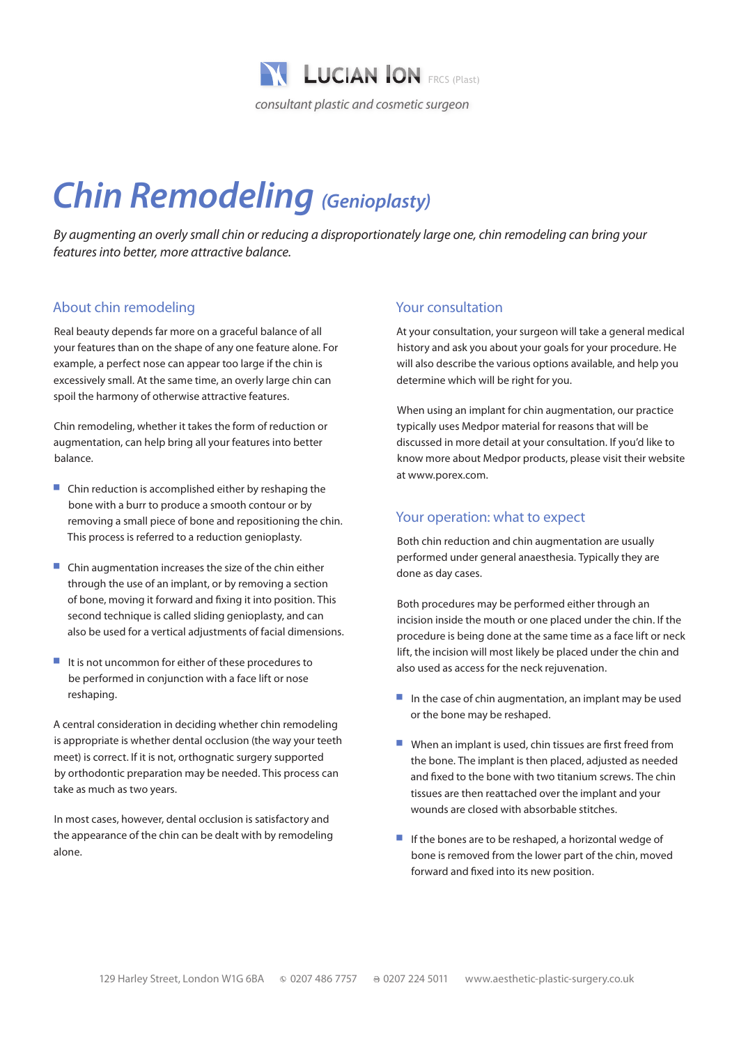

# *Chin Remodeling (Genioplasty)*

*By augmenting an overly small chin or reducing a disproportionately large one, chin remodeling can bring your features into better, more attractive balance.*

# About chin remodeling

Real beauty depends far more on a graceful balance of all your features than on the shape of any one feature alone. For example, a perfect nose can appear too large if the chin is excessively small. At the same time, an overly large chin can spoil the harmony of otherwise attractive features.

Chin remodeling, whether it takes the form of reduction or augmentation, can help bring all your features into better balance.

- $\blacksquare$  Chin reduction is accomplished either by reshaping the bone with a burr to produce a smooth contour or by removing a small piece of bone and repositioning the chin. This process is referred to a reduction genioplasty.
- $\blacksquare$  Chin augmentation increases the size of the chin either through the use of an implant, or by removing a section of bone, moving it forward and fixing it into position. This second technique is called sliding genioplasty, and can also be used for a vertical adjustments of facial dimensions.
- It is not uncommon for either of these procedures to be performed in conjunction with a face lift or nose reshaping.

A central consideration in deciding whether chin remodeling is appropriate is whether dental occlusion (the way your teeth meet) is correct. If it is not, orthognatic surgery supported by orthodontic preparation may be needed. This process can take as much as two years.

In most cases, however, dental occlusion is satisfactory and the appearance of the chin can be dealt with by remodeling alone.

## Your consultation

At your consultation, your surgeon will take a general medical history and ask you about your goals for your procedure. He will also describe the various options available, and help you determine which will be right for you.

When using an implant for chin augmentation, our practice typically uses Medpor material for reasons that will be discussed in more detail at your consultation. If you'd like to know more about Medpor products, please visit their website at www.porex.com.

### Your operation: what to expect

Both chin reduction and chin augmentation are usually performed under general anaesthesia. Typically they are done as day cases.

Both procedures may be performed either through an incision inside the mouth or one placed under the chin. If the procedure is being done at the same time as a face lift or neck lift, the incision will most likely be placed under the chin and also used as access for the neck rejuvenation.

- $\blacksquare$  In the case of chin augmentation, an implant may be used or the bone may be reshaped.
- $\blacksquare$  When an implant is used, chin tissues are first freed from the bone. The implant is then placed, adjusted as needed and fixed to the bone with two titanium screws. The chin tissues are then reattached over the implant and your wounds are closed with absorbable stitches.
- $\blacksquare$  If the bones are to be reshaped, a horizontal wedge of bone is removed from the lower part of the chin, moved forward and fixed into its new position.